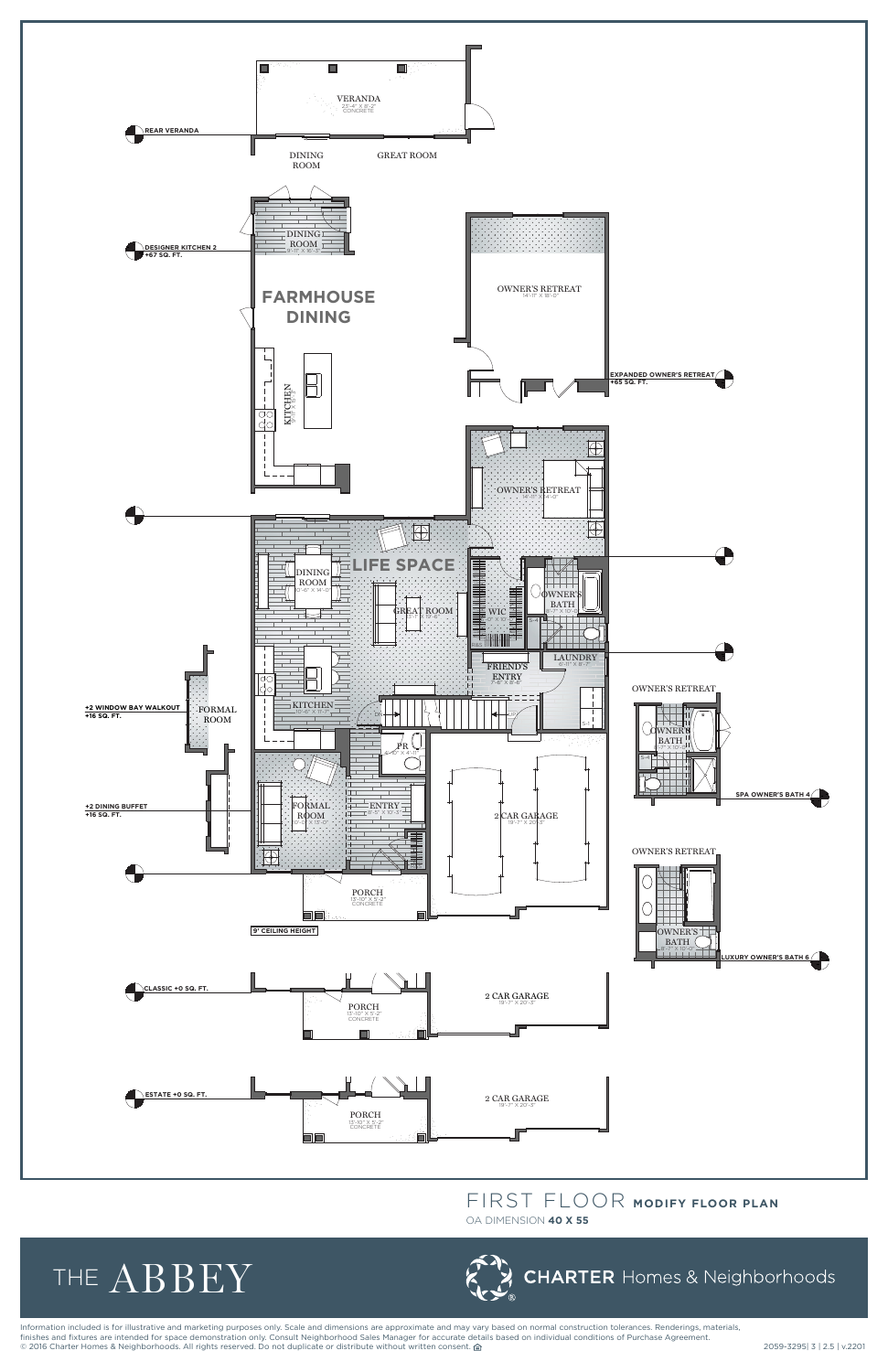Information included is for illustrative and marketing purposes only. Scale and dimensions are approximate and may vary based on normal construction tolerances. Renderings, materials, finishes and fixtures are intended for space demonstration only. Consult Neighborhood Sales Manager for accurate details based on individual conditions of Purchase Agreement. nnance and method are increased. The consentence of the consentence or distribute without written consent. △<br>◎ 2016 Charter Homes & Neighborhoods. All rights reserved. Do not duplicate or distribute without written conse



## FIRST FLOOR **MODIFY FLOOR PLAN**<br>OA DIMENSION **40 X 55**

OA DIMENSION **40 X 55**



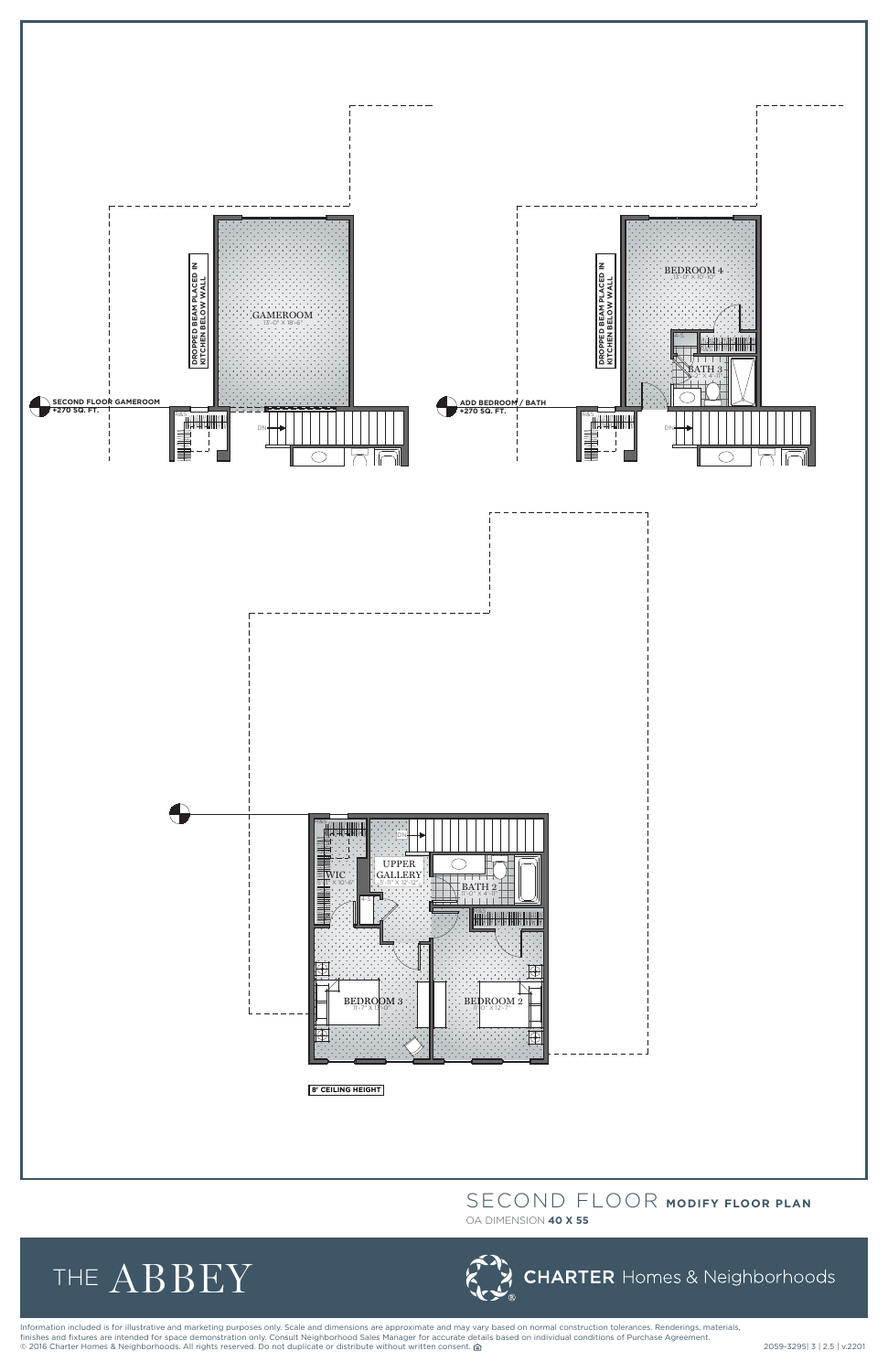

## SECOND FLOOR **MODIFY FLOOR PLAN**

OA DIMENSION **40 X 55**





Information included is for illustrative and marketing purposes only. Scale and dimensions are approximate and may vary based on normal construction tolerances. Renderings, materials,<br>Information included is for illustrati finishes and fixtures are intended for space demonstration only. Consult Neighborhood Sales Manager for accurate details based on individual conditions of Purchase Agreement. © 2016 Charter Homes & Neighborhoods. All rights reserved. Do not duplicate or distribute without written consent. △ 2059-3295 2059-3295| 3 | 2.5 | v.2201